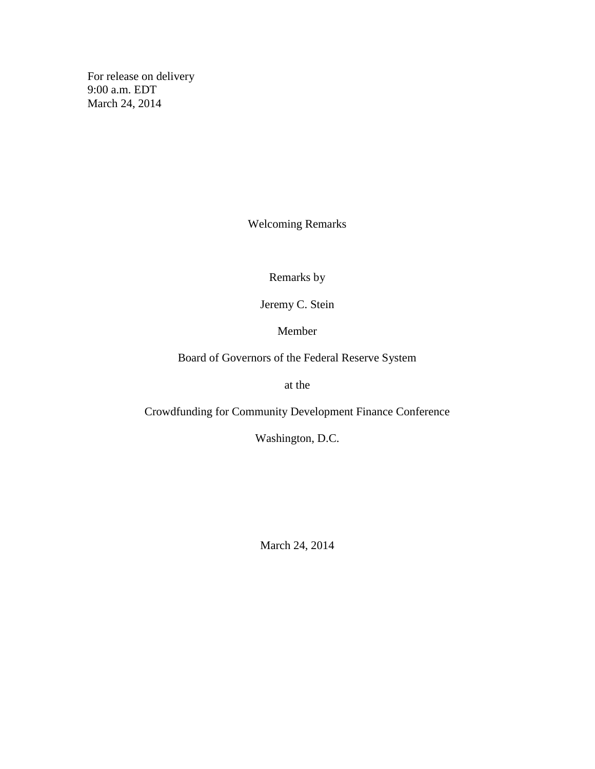For release on delivery 9:00 a.m. EDT March 24, 2014

Welcoming Remarks

Remarks by

Jeremy C. Stein

Member

Board of Governors of the Federal Reserve System

at the

Crowdfunding for Community Development Finance Conference

Washington, D.C.

March 24, 2014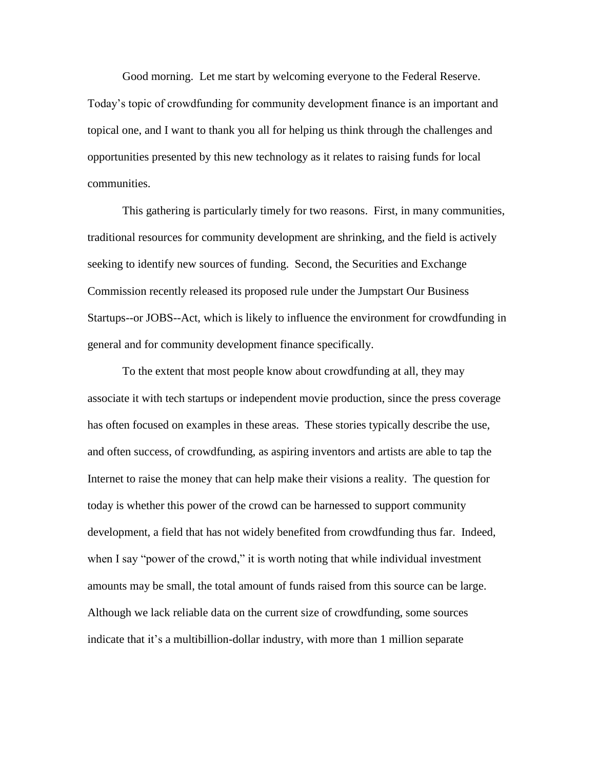Good morning. Let me start by welcoming everyone to the Federal Reserve. Today's topic of crowdfunding for community development finance is an important and topical one, and I want to thank you all for helping us think through the challenges and opportunities presented by this new technology as it relates to raising funds for local communities.

This gathering is particularly timely for two reasons. First, in many communities, traditional resources for community development are shrinking, and the field is actively seeking to identify new sources of funding. Second, the Securities and Exchange Commission recently released its proposed rule under the Jumpstart Our Business Startups--or JOBS--Act, which is likely to influence the environment for crowdfunding in general and for community development finance specifically.

To the extent that most people know about crowdfunding at all, they may associate it with tech startups or independent movie production, since the press coverage has often focused on examples in these areas. These stories typically describe the use, and often success, of crowdfunding, as aspiring inventors and artists are able to tap the Internet to raise the money that can help make their visions a reality. The question for today is whether this power of the crowd can be harnessed to support community development, a field that has not widely benefited from crowdfunding thus far. Indeed, when I say "power of the crowd," it is worth noting that while individual investment amounts may be small, the total amount of funds raised from this source can be large. Although we lack reliable data on the current size of crowdfunding, some sources indicate that it's a multibillion-dollar industry, with more than 1 million separate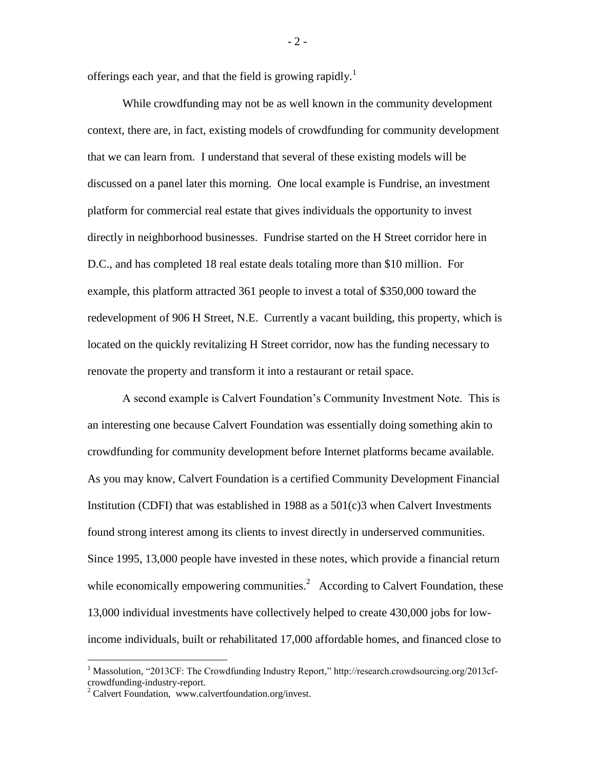offerings each year, and that the field is growing rapidly.<sup>1</sup>

While crowdfunding may not be as well known in the community development context, there are, in fact, existing models of crowdfunding for community development that we can learn from. I understand that several of these existing models will be discussed on a panel later this morning. One local example is Fundrise, an investment platform for commercial real estate that gives individuals the opportunity to invest directly in neighborhood businesses. Fundrise started on the H Street corridor here in D.C., and has completed 18 real estate deals totaling more than \$10 million. For example, this platform attracted 361 people to invest a total of \$350,000 toward the redevelopment of 906 H Street, N.E. Currently a vacant building, this property, which is located on the quickly revitalizing H Street corridor, now has the funding necessary to renovate the property and transform it into a restaurant or retail space.

A second example is Calvert Foundation's Community Investment Note. This is an interesting one because Calvert Foundation was essentially doing something akin to crowdfunding for community development before Internet platforms became available. As you may know, Calvert Foundation is a certified Community Development Financial Institution (CDFI) that was established in 1988 as a  $501(c)3$  when Calvert Investments found strong interest among its clients to invest directly in underserved communities. Since 1995, 13,000 people have invested in these notes, which provide a financial return while economically empowering communities.<sup>2</sup> According to Calvert Foundation, these 13,000 individual investments have collectively helped to create 430,000 jobs for lowincome individuals, built or rehabilitated 17,000 affordable homes, and financed close to

 $\overline{a}$ 

 $-2-$ 

<sup>&</sup>lt;sup>1</sup> Massolution, "2013CF: The Crowdfunding Industry Report," http://research.crowdsourcing.org/2013cfcrowdfunding-industry-report.

 $2$  Calvert Foundation, www.calvertfoundation.org/invest.